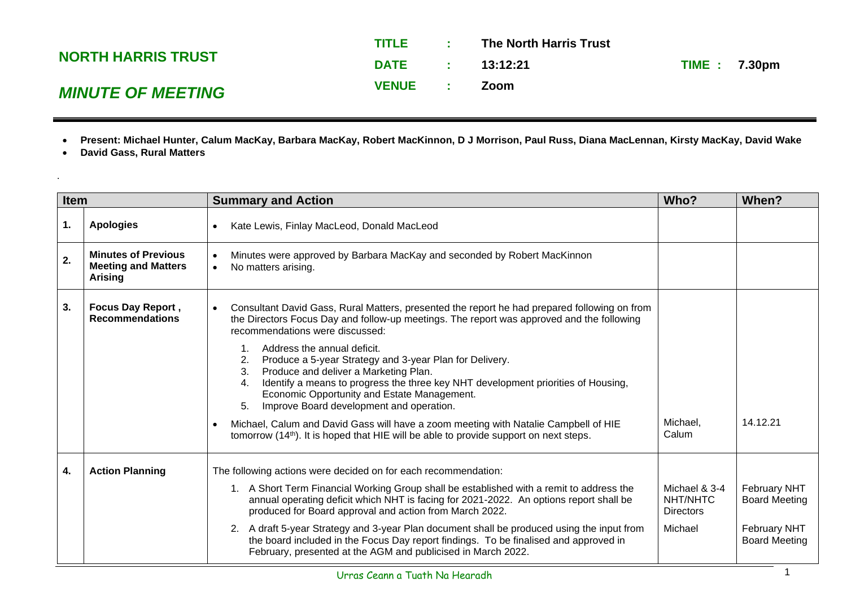|                           | <b>TITLE</b> | <b>Contract Contract</b> | The North Harris Trust |                     |
|---------------------------|--------------|--------------------------|------------------------|---------------------|
| <b>NORTH HARRIS TRUST</b> | DATE:        |                          | 13:12:21               | <b>TIME: 7.30pm</b> |
| <b>MINUTE OF MEETING</b>  | <b>VENUE</b> |                          | Zoom                   |                     |

- **Present: Michael Hunter, Calum MacKay, Barbara MacKay, Robert MacKinnon, D J Morrison, Paul Russ, Diana MacLennan, Kirsty MacKay, David Wake**
- **David Gass, Rural Matters**

.

| Item |                                                                            | <b>Summary and Action</b>                                                                                                                                                                                                                                                                                                               |                                               | When?                                       |
|------|----------------------------------------------------------------------------|-----------------------------------------------------------------------------------------------------------------------------------------------------------------------------------------------------------------------------------------------------------------------------------------------------------------------------------------|-----------------------------------------------|---------------------------------------------|
| 1.   | <b>Apologies</b>                                                           | Kate Lewis, Finlay MacLeod, Donald MacLeod<br>$\bullet$                                                                                                                                                                                                                                                                                 |                                               |                                             |
| 2.   | <b>Minutes of Previous</b><br><b>Meeting and Matters</b><br><b>Arising</b> | Minutes were approved by Barbara MacKay and seconded by Robert MacKinnon<br>$\bullet$<br>No matters arising.<br>$\bullet$                                                                                                                                                                                                               |                                               |                                             |
| 3.   | <b>Focus Day Report,</b><br><b>Recommendations</b>                         | Consultant David Gass, Rural Matters, presented the report he had prepared following on from<br>$\bullet$<br>the Directors Focus Day and follow-up meetings. The report was approved and the following<br>recommendations were discussed:                                                                                               |                                               |                                             |
|      |                                                                            | Address the annual deficit.<br>2.<br>Produce a 5-year Strategy and 3-year Plan for Delivery.<br>Produce and deliver a Marketing Plan.<br>3.<br>Identify a means to progress the three key NHT development priorities of Housing,<br>4.<br>Economic Opportunity and Estate Management.<br>5.<br>Improve Board development and operation. |                                               |                                             |
|      |                                                                            | Michael, Calum and David Gass will have a zoom meeting with Natalie Campbell of HIE<br>$\bullet$<br>tomorrow (14 <sup>th</sup> ). It is hoped that HIE will be able to provide support on next steps.                                                                                                                                   | Michael,<br>Calum                             | 14.12.21                                    |
| 4.   | <b>Action Planning</b>                                                     | The following actions were decided on for each recommendation:                                                                                                                                                                                                                                                                          |                                               |                                             |
|      |                                                                            | 1. A Short Term Financial Working Group shall be established with a remit to address the<br>annual operating deficit which NHT is facing for 2021-2022. An options report shall be<br>produced for Board approval and action from March 2022.                                                                                           | Michael & 3-4<br>NHT/NHTC<br><b>Directors</b> | <b>February NHT</b><br><b>Board Meeting</b> |
|      |                                                                            | 2. A draft 5-year Strategy and 3-year Plan document shall be produced using the input from<br>the board included in the Focus Day report findings. To be finalised and approved in<br>February, presented at the AGM and publicised in March 2022.                                                                                      | Michael                                       | <b>February NHT</b><br><b>Board Meeting</b> |